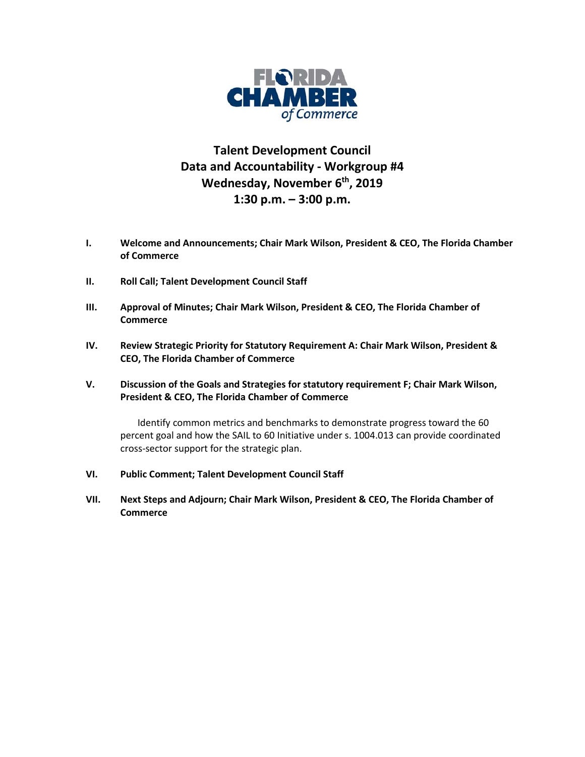

# **Talent Development Council Data and Accountability - Workgroup #4** Wednesday, November 6<sup>th</sup>, 2019 **1:30 p.m. – 3:00 p.m.**

- **I. Welcome and Announcements; Chair Mark Wilson, President & CEO, The Florida Chamber of Commerce**
- **II. Roll Call; Talent Development Council Staff**
- **III. Approval of Minutes; Chair Mark Wilson, President & CEO, The Florida Chamber of Commerce**
- **IV. Review Strategic Priority for Statutory Requirement A: Chair Mark Wilson, President & CEO, The Florida Chamber of Commerce**
- **V. Discussion of the Goals and Strategies for statutory requirement F; Chair Mark Wilson, President & CEO, The Florida Chamber of Commerce**

Identify common metrics and benchmarks to demonstrate progress toward the 60 percent goal and how the SAIL to 60 Initiative under s. 1004.013 can provide coordinated cross-sector support for the strategic plan.

- **VI. Public Comment; Talent Development Council Staff**
- **VII. Next Steps and Adjourn; Chair Mark Wilson, President & CEO, The Florida Chamber of Commerce**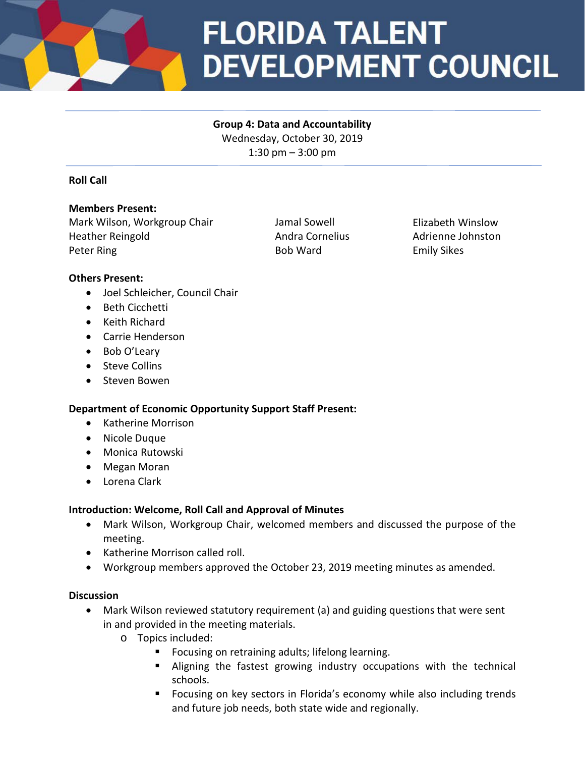

# **FLORIDA TALENT DEVELOPMENT COUNCIL**

#### **Group 4: Data and Accountability**

Wednesday, October 30, 2019 1:30 pm – 3:00 pm

**Roll Call**

#### **Members Present:**

Mark Wilson, Workgroup Chair **Jamal Sowell** Heather Reingold **Andra Cornelius** Peter Ring **Bob Ward** 

Elizabeth Winslow Adrienne Johnston Emily Sikes

#### **Others Present:**

- Joel Schleicher, Council Chair
- Beth Cicchetti
- Keith Richard
- Carrie Henderson
- Bob O'Leary
- Steve Collins
- Steven Bowen

#### **Department of Economic Opportunity Support Staff Present:**

- Katherine Morrison
- Nicole Duque
- Monica Rutowski
- Megan Moran
- Lorena Clark

## **Introduction: Welcome, Roll Call and Approval of Minutes**

- Mark Wilson, Workgroup Chair, welcomed members and discussed the purpose of the meeting.
- Katherine Morrison called roll.
- Workgroup members approved the October 23, 2019 meeting minutes as amended.

#### **Discussion**

- Mark Wilson reviewed statutory requirement (a) and guiding questions that were sent in and provided in the meeting materials.
	- o Topics included:
		- **FICUME:** Focusing on retraining adults; lifelong learning.
		- Aligning the fastest growing industry occupations with the technical schools.
		- **FICUM** Focusing on key sectors in Florida's economy while also including trends and future job needs, both state wide and regionally.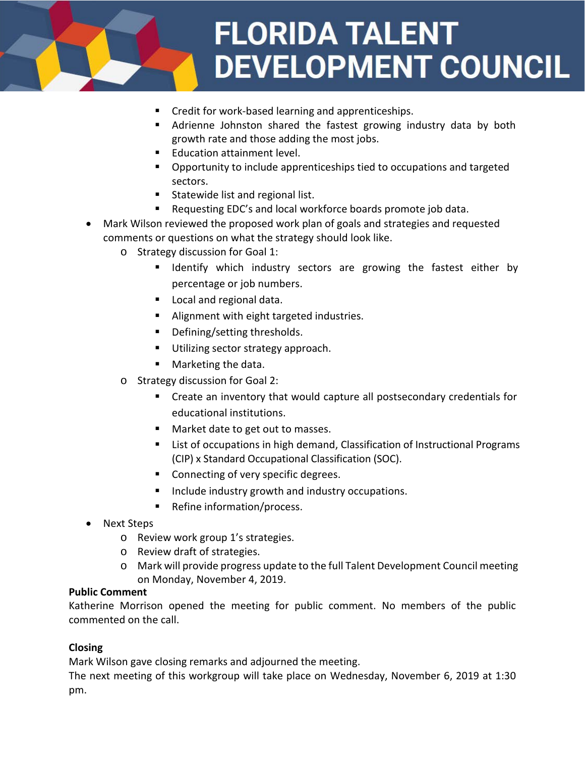

- **EXECT** Credit for work-based learning and apprenticeships.
- Adrienne Johnston shared the fastest growing industry data by both growth rate and those adding the most jobs.
- **Education attainment level.**
- Opportunity to include apprenticeships tied to occupations and targeted sectors.
- **Statewide list and regional list.**
- Requesting EDC's and local workforce boards promote job data.
- Mark Wilson reviewed the proposed work plan of goals and strategies and requested comments or questions on what the strategy should look like.
	- o Strategy discussion for Goal 1:
		- Identify which industry sectors are growing the fastest either by percentage or job numbers.
		- **Local and regional data.**
		- **Alignment with eight targeted industries.**
		- Defining/setting thresholds.
		- Utilizing sector strategy approach.
		- **Marketing the data.**
	- o Strategy discussion for Goal 2:
		- Create an inventory that would capture all postsecondary credentials for educational institutions.
		- **Market date to get out to masses.**
		- **E** List of occupations in high demand, Classification of Instructional Programs (CIP) x Standard Occupational Classification (SOC).
		- Connecting of very specific degrees.
		- Include industry growth and industry occupations.
		- Refine information/process.
- Next Steps
	- o Review work group 1's strategies.
	- o Review draft of strategies.
	- o Mark will provide progress update to the full Talent Development Council meeting on Monday, November 4, 2019.

#### **Public Comment**

Katherine Morrison opened the meeting for public comment. No members of the public commented on the call.

#### **Closing**

Mark Wilson gave closing remarks and adjourned the meeting.

The next meeting of this workgroup will take place on Wednesday, November 6, 2019 at 1:30 pm.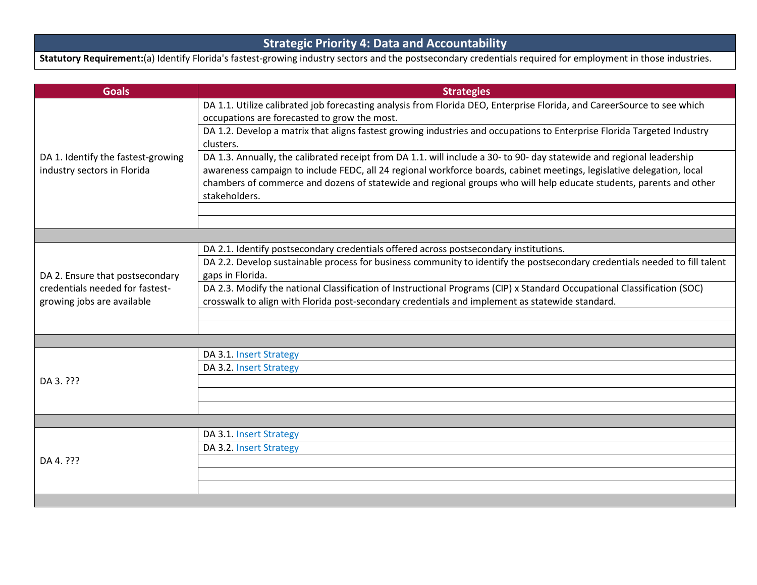# **Strategic Priority 4: Data and Accountability**

## **Statutory Requirement:**(a) Identify Florida's fastest-growing industry sectors and the postsecondary credentials required for employment in those industries.

| <b>Goals</b>                                                      | <b>Strategies</b>                                                                                                          |
|-------------------------------------------------------------------|----------------------------------------------------------------------------------------------------------------------------|
| DA 1. Identify the fastest-growing<br>industry sectors in Florida | DA 1.1. Utilize calibrated job forecasting analysis from Florida DEO, Enterprise Florida, and CareerSource to see which    |
|                                                                   | occupations are forecasted to grow the most.                                                                               |
|                                                                   | DA 1.2. Develop a matrix that aligns fastest growing industries and occupations to Enterprise Florida Targeted Industry    |
|                                                                   | clusters.                                                                                                                  |
|                                                                   | DA 1.3. Annually, the calibrated receipt from DA 1.1. will include a 30- to 90- day statewide and regional leadership      |
|                                                                   | awareness campaign to include FEDC, all 24 regional workforce boards, cabinet meetings, legislative delegation, local      |
|                                                                   | chambers of commerce and dozens of statewide and regional groups who will help educate students, parents and other         |
|                                                                   | stakeholders.                                                                                                              |
|                                                                   |                                                                                                                            |
|                                                                   |                                                                                                                            |
| DA 2. Ensure that postsecondary                                   | DA 2.1. Identify postsecondary credentials offered across postsecondary institutions.                                      |
|                                                                   | DA 2.2. Develop sustainable process for business community to identify the postsecondary credentials needed to fill talent |
|                                                                   | gaps in Florida.                                                                                                           |
| credentials needed for fastest-                                   | DA 2.3. Modify the national Classification of Instructional Programs (CIP) x Standard Occupational Classification (SOC)    |
| growing jobs are available                                        | crosswalk to align with Florida post-secondary credentials and implement as statewide standard.                            |
|                                                                   |                                                                                                                            |
|                                                                   |                                                                                                                            |
|                                                                   |                                                                                                                            |
| DA 3. ???                                                         | DA 3.1. Insert Strategy                                                                                                    |
|                                                                   | DA 3.2. Insert Strategy                                                                                                    |
|                                                                   |                                                                                                                            |
|                                                                   |                                                                                                                            |
|                                                                   |                                                                                                                            |
|                                                                   | DA 3.1. Insert Strategy                                                                                                    |
| DA 4. ???                                                         | DA 3.2. Insert Strategy                                                                                                    |
|                                                                   |                                                                                                                            |
|                                                                   |                                                                                                                            |
|                                                                   |                                                                                                                            |
|                                                                   |                                                                                                                            |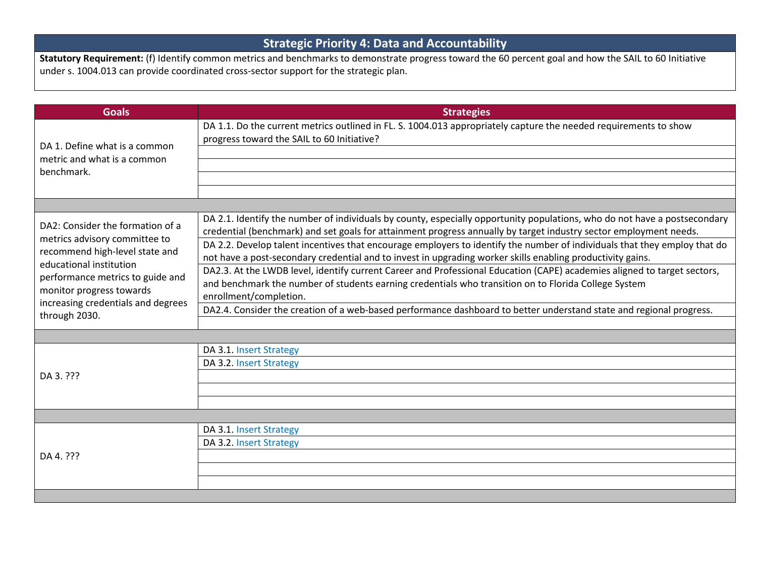# **Strategic Priority 4: Data and Accountability**

**Statutory Requirement:** (f) Identify common metrics and benchmarks to demonstrate progress toward the 60 percent goal and how the SAIL to 60 Initiative under s. 1004.013 can provide coordinated cross-sector support for the strategic plan.

| <b>Goals</b>                                                                                                                                                                                                                                          | <b>Strategies</b>                                                                                                                                                                                                                                                                                                                                                                                                                                                                                                                                                                                                                                                                                                                                                                                                                                                              |
|-------------------------------------------------------------------------------------------------------------------------------------------------------------------------------------------------------------------------------------------------------|--------------------------------------------------------------------------------------------------------------------------------------------------------------------------------------------------------------------------------------------------------------------------------------------------------------------------------------------------------------------------------------------------------------------------------------------------------------------------------------------------------------------------------------------------------------------------------------------------------------------------------------------------------------------------------------------------------------------------------------------------------------------------------------------------------------------------------------------------------------------------------|
| DA 1. Define what is a common<br>metric and what is a common<br>benchmark.                                                                                                                                                                            | DA 1.1. Do the current metrics outlined in FL. S. 1004.013 appropriately capture the needed requirements to show<br>progress toward the SAIL to 60 Initiative?                                                                                                                                                                                                                                                                                                                                                                                                                                                                                                                                                                                                                                                                                                                 |
|                                                                                                                                                                                                                                                       |                                                                                                                                                                                                                                                                                                                                                                                                                                                                                                                                                                                                                                                                                                                                                                                                                                                                                |
| DA2: Consider the formation of a<br>metrics advisory committee to<br>recommend high-level state and<br>educational institution<br>performance metrics to guide and<br>monitor progress towards<br>increasing credentials and degrees<br>through 2030. | DA 2.1. Identify the number of individuals by county, especially opportunity populations, who do not have a postsecondary<br>credential (benchmark) and set goals for attainment progress annually by target industry sector employment needs.<br>DA 2.2. Develop talent incentives that encourage employers to identify the number of individuals that they employ that do<br>not have a post-secondary credential and to invest in upgrading worker skills enabling productivity gains.<br>DA2.3. At the LWDB level, identify current Career and Professional Education (CAPE) academies aligned to target sectors,<br>and benchmark the number of students earning credentials who transition on to Florida College System<br>enrollment/completion.<br>DA2.4. Consider the creation of a web-based performance dashboard to better understand state and regional progress. |
|                                                                                                                                                                                                                                                       |                                                                                                                                                                                                                                                                                                                                                                                                                                                                                                                                                                                                                                                                                                                                                                                                                                                                                |
| DA 3. ???                                                                                                                                                                                                                                             | DA 3.1. Insert Strategy<br>DA 3.2. Insert Strategy                                                                                                                                                                                                                                                                                                                                                                                                                                                                                                                                                                                                                                                                                                                                                                                                                             |
|                                                                                                                                                                                                                                                       |                                                                                                                                                                                                                                                                                                                                                                                                                                                                                                                                                                                                                                                                                                                                                                                                                                                                                |
| DA 4. ???                                                                                                                                                                                                                                             | DA 3.1. Insert Strategy<br>DA 3.2. Insert Strategy                                                                                                                                                                                                                                                                                                                                                                                                                                                                                                                                                                                                                                                                                                                                                                                                                             |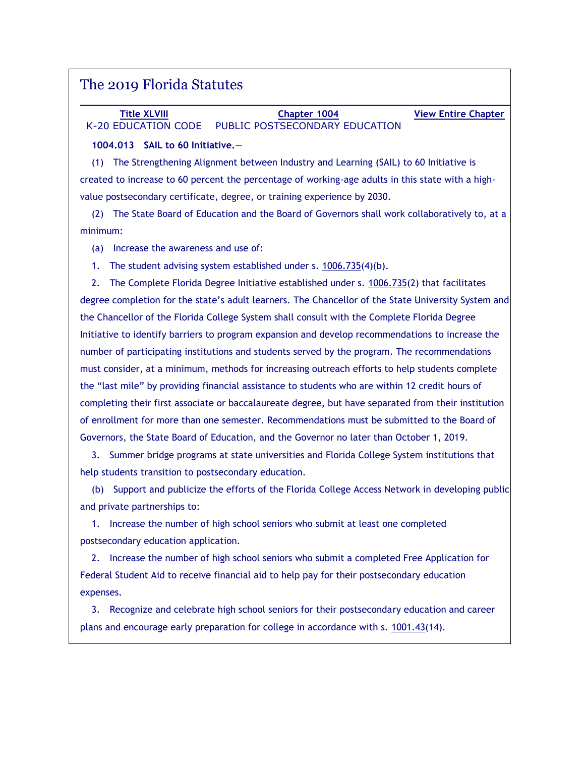## The 2019 Florida Statutes

**[Title XLVIII](http://www.leg.state.fl.us/Statutes/index.cfm?App_mode=Display_Index&Title_Request=XLVIII#TitleXLVIII)** K-20 EDUCATION CODE PUBLIC POSTSECONDARY EDUCATION **[Chapter 1004](http://www.leg.state.fl.us/Statutes/index.cfm?App_mode=Display_Statute&URL=1000-1099/1004/1004ContentsIndex.html) [View Entire Chapter](http://www.leg.state.fl.us/Statutes/index.cfm?App_mode=Display_Statute&URL=1000-1099/1004/1004.html)**

**1004.013 SAIL to 60 Initiative.**—

(1) The Strengthening Alignment between Industry and Learning (SAIL) to 60 Initiative is created to increase to 60 percent the percentage of working-age adults in this state with a highvalue postsecondary certificate, degree, or training experience by 2030.

(2) The State Board of Education and the Board of Governors shall work collaboratively to, at a minimum:

(a) Increase the awareness and use of:

1. The student advising system established under s. [1006.735\(](http://www.leg.state.fl.us/Statutes/index.cfm?App_mode=Display_Statute&Search_String=&URL=1000-1099/1006/Sections/1006.735.html)4)(b).

2. The Complete Florida Degree Initiative established under s. [1006.735\(](http://www.leg.state.fl.us/Statutes/index.cfm?App_mode=Display_Statute&Search_String=&URL=1000-1099/1006/Sections/1006.735.html)2) that facilitates degree completion for the state's adult learners. The Chancellor of the State University System and the Chancellor of the Florida College System shall consult with the Complete Florida Degree Initiative to identify barriers to program expansion and develop recommendations to increase the number of participating institutions and students served by the program. The recommendations must consider, at a minimum, methods for increasing outreach efforts to help students complete the "last mile" by providing financial assistance to students who are within 12 credit hours of completing their first associate or baccalaureate degree, but have separated from their institution of enrollment for more than one semester. Recommendations must be submitted to the Board of Governors, the State Board of Education, and the Governor no later than October 1, 2019.

3. Summer bridge programs at state universities and Florida College System institutions that help students transition to postsecondary education.

(b) Support and publicize the efforts of the Florida College Access Network in developing public and private partnerships to:

1. Increase the number of high school seniors who submit at least one completed postsecondary education application.

2. Increase the number of high school seniors who submit a completed Free Application for Federal Student Aid to receive financial aid to help pay for their postsecondary education expenses.

3. Recognize and celebrate high school seniors for their postsecondary education and career plans and encourage early preparation for college in accordance with s. [1001.43\(](http://www.leg.state.fl.us/Statutes/index.cfm?App_mode=Display_Statute&Search_String=&URL=1000-1099/1001/Sections/1001.43.html)14).